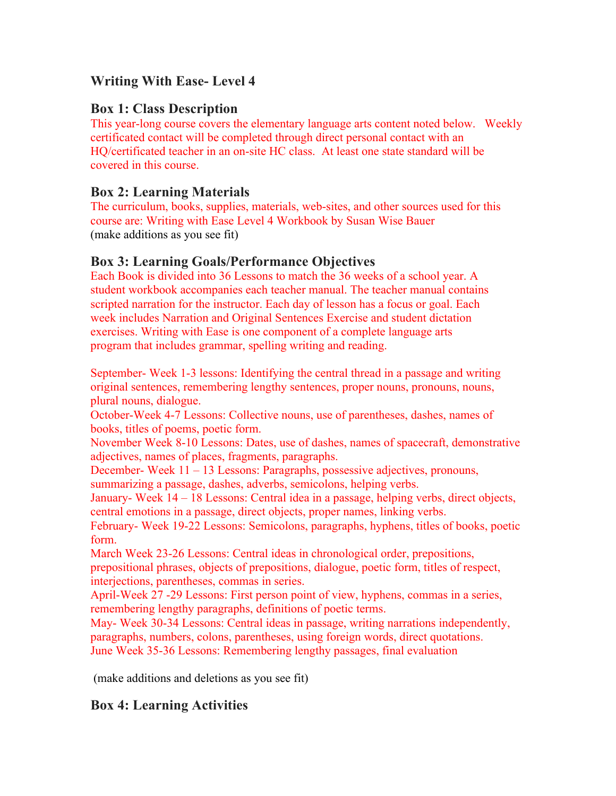## **Writing With Ease- Level 4**

## **Box 1: Class Description**

This year-long course covers the elementary language arts content noted below. Weekly certificated contact will be completed through direct personal contact with an HQ/certificated teacher in an on-site HC class. At least one state standard will be covered in this course.

## **Box 2: Learning Materials**

The curriculum, books, supplies, materials, web-sites, and other sources used for this course are: Writing with Ease Level 4 Workbook by Susan Wise Bauer (make additions as you see fit)

## **Box 3: Learning Goals/Performance Objectives**

Each Book is divided into 36 Lessons to match the 36 weeks of a school year. A student workbook accompanies each teacher manual. The teacher manual contains scripted narration for the instructor. Each day of lesson has a focus or goal. Each week includes Narration and Original Sentences Exercise and student dictation exercises. Writing with Ease is one component of a complete language arts program that includes grammar, spelling writing and reading.

September- Week 1-3 lessons: Identifying the central thread in a passage and writing original sentences, remembering lengthy sentences, proper nouns, pronouns, nouns, plural nouns, dialogue.

October-Week 4-7 Lessons: Collective nouns, use of parentheses, dashes, names of books, titles of poems, poetic form.

November Week 8-10 Lessons: Dates, use of dashes, names of spacecraft, demonstrative adjectives, names of places, fragments, paragraphs.

December- Week 11 – 13 Lessons: Paragraphs, possessive adjectives, pronouns, summarizing a passage, dashes, adverbs, semicolons, helping verbs.

January- Week 14 – 18 Lessons: Central idea in a passage, helping verbs, direct objects, central emotions in a passage, direct objects, proper names, linking verbs.

February- Week 19-22 Lessons: Semicolons, paragraphs, hyphens, titles of books, poetic form.

March Week 23-26 Lessons: Central ideas in chronological order, prepositions, prepositional phrases, objects of prepositions, dialogue, poetic form, titles of respect, interjections, parentheses, commas in series.

April-Week 27 -29 Lessons: First person point of view, hyphens, commas in a series, remembering lengthy paragraphs, definitions of poetic terms.

May- Week 30-34 Lessons: Central ideas in passage, writing narrations independently, paragraphs, numbers, colons, parentheses, using foreign words, direct quotations. June Week 35-36 Lessons: Remembering lengthy passages, final evaluation

(make additions and deletions as you see fit)

# **Box 4: Learning Activities**